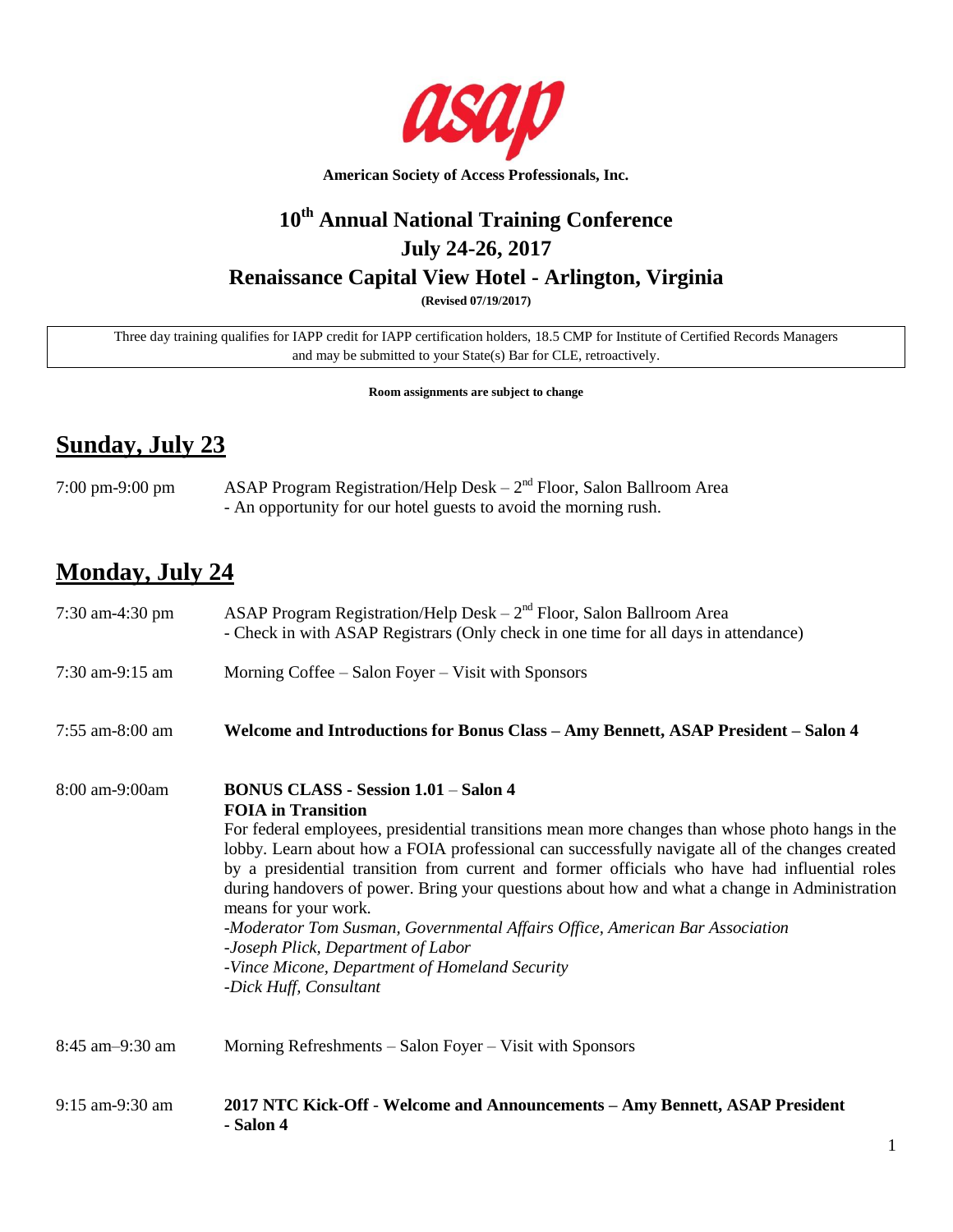

# **10th Annual National Training Conference July 24-26, 2017 Renaissance Capital View Hotel - Arlington, Virginia**

**(Revised 07/19/2017)**

Three day training qualifies for IAPP credit for IAPP certification holders, 18.5 CMP for Institute of Certified Records Managers and may be submitted to your State(s) Bar for CLE, retroactively.

**Room assignments are subject to change**

# **Sunday, July 23**

7:00 pm-9:00 pm ASAP Program Registration/Help Desk – 2<sup>nd</sup> Floor, Salon Ballroom Area - An opportunity for our hotel guests to avoid the morning rush.

# **Monday, July 24**

| 7:30 am-4:30 pm   | ASAP Program Registration/Help Desk $-2^{nd}$ Floor, Salon Ballroom Area<br>- Check in with ASAP Registrars (Only check in one time for all days in attendance)                                                                                                                                                                                                                                                                                                                                                                                                                                                                                                                                            |
|-------------------|------------------------------------------------------------------------------------------------------------------------------------------------------------------------------------------------------------------------------------------------------------------------------------------------------------------------------------------------------------------------------------------------------------------------------------------------------------------------------------------------------------------------------------------------------------------------------------------------------------------------------------------------------------------------------------------------------------|
| 7:30 am-9:15 am   | Morning Coffee – Salon Foyer – Visit with Sponsors                                                                                                                                                                                                                                                                                                                                                                                                                                                                                                                                                                                                                                                         |
| $7:55$ am-8:00 am | Welcome and Introductions for Bonus Class - Amy Bennett, ASAP President - Salon 4                                                                                                                                                                                                                                                                                                                                                                                                                                                                                                                                                                                                                          |
| 8:00 am-9:00am    | <b>BONUS CLASS - Session 1.01 - Salon 4</b><br><b>FOIA</b> in Transition<br>For federal employees, presidential transitions mean more changes than whose photo hangs in the<br>lobby. Learn about how a FOIA professional can successfully navigate all of the changes created<br>by a presidential transition from current and former officials who have had influential roles<br>during handovers of power. Bring your questions about how and what a change in Administration<br>means for your work.<br>-Moderator Tom Susman, Governmental Affairs Office, American Bar Association<br>-Joseph Plick, Department of Labor<br>-Vince Micone, Department of Homeland Security<br>-Dick Huff, Consultant |
| 8:45 am-9:30 am   | Morning Refreshments – Salon Foyer – Visit with Sponsors                                                                                                                                                                                                                                                                                                                                                                                                                                                                                                                                                                                                                                                   |
| 9:15 am-9:30 am   | 2017 NTC Kick-Off - Welcome and Announcements – Amy Bennett, ASAP President<br>- Salon 4                                                                                                                                                                                                                                                                                                                                                                                                                                                                                                                                                                                                                   |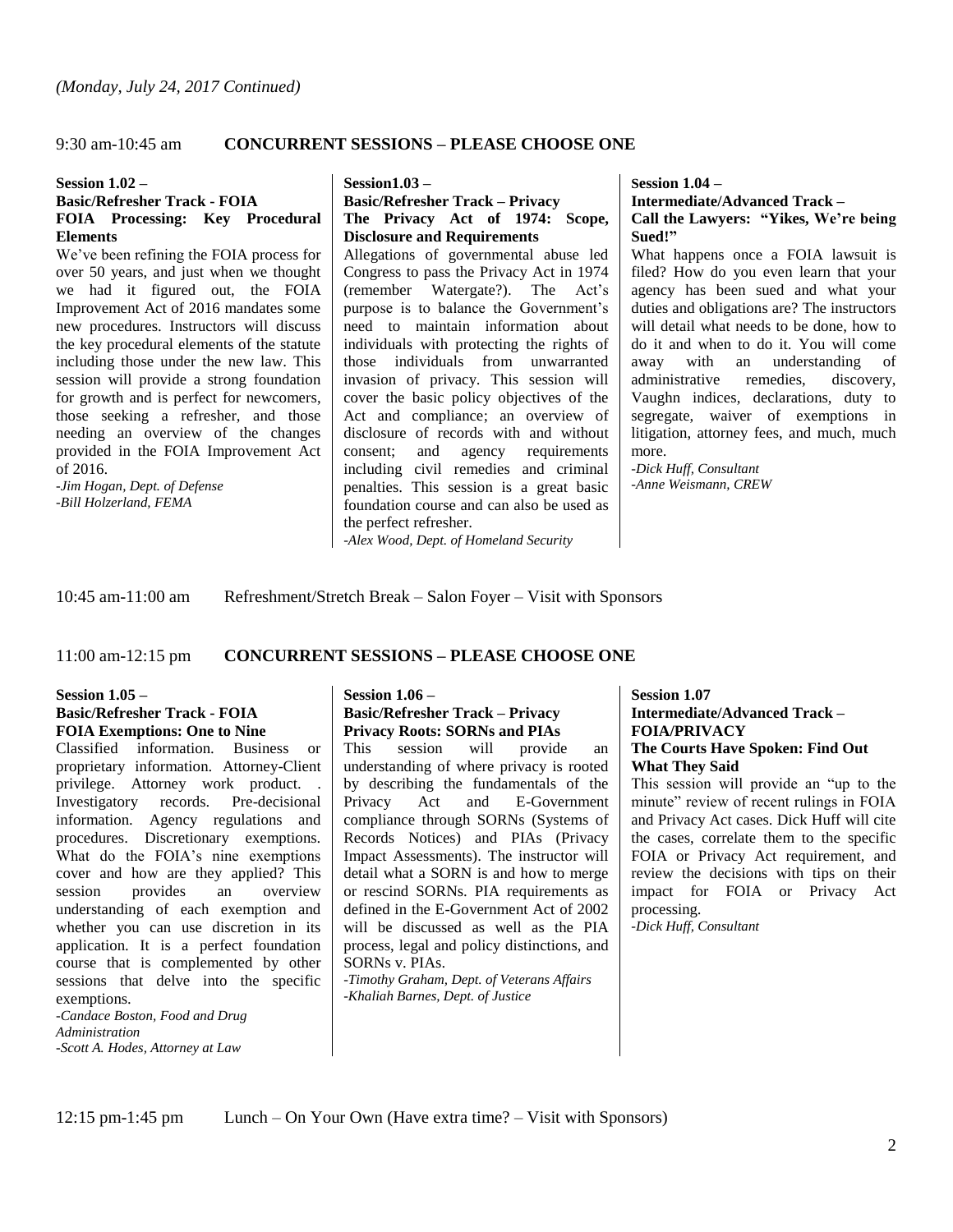# 9:30 am-10:45 am **CONCURRENT SESSIONS – PLEASE CHOOSE ONE**

#### **Session 1.02 –**

### **Basic/Refresher Track - FOIA FOIA Processing: Key Procedural Elements**

We've been refining the FOIA process for over 50 years, and just when we thought we had it figured out, the FOIA Improvement Act of 2016 mandates some new procedures. Instructors will discuss the key procedural elements of the statute including those under the new law. This session will provide a strong foundation for growth and is perfect for newcomers, those seeking a refresher, and those needing an overview of the changes provided in the FOIA Improvement Act of 2016.

*-Jim Hogan, Dept. of Defense -Bill Holzerland, FEMA* 

#### **Session1.03 –**

# **Basic/Refresher Track – Privacy The Privacy Act of 1974: Scope, Disclosure and Requirements**

Allegations of governmental abuse led Congress to pass the Privacy Act in 1974 (remember Watergate?). The Act's purpose is to balance the Government's need to maintain information about individuals with protecting the rights of those individuals from unwarranted invasion of privacy. This session will cover the basic policy objectives of the Act and compliance; an overview of disclosure of records with and without consent; and agency requirements including civil remedies and criminal penalties. This session is a great basic foundation course and can also be used as the perfect refresher.

*-Alex Wood, Dept. of Homeland Security*

**Session 1.04 – Intermediate/Advanced Track –**

# **Call the Lawyers: "Yikes, We're being Sued!"**

What happens once a FOIA lawsuit is filed? How do you even learn that your agency has been sued and what your duties and obligations are? The instructors will detail what needs to be done, how to do it and when to do it. You will come away with an understanding of<br>administrative remedies, discovery, administrative remedies, Vaughn indices, declarations, duty to segregate, waiver of exemptions in litigation, attorney fees, and much, much more.

*-Dick Huff, Consultant -Anne Weismann, CREW*

10:45 am-11:00 am Refreshment/Stretch Break – Salon Foyer – Visit with Sponsors

#### 11:00 am-12:15 pm **CONCURRENT SESSIONS – PLEASE CHOOSE ONE**

#### **Session 1.05 – Basic/Refresher Track - FOIA FOIA Exemptions: One to Nine**

Classified information. Business or proprietary information. Attorney-Client privilege. Attorney work product. . Investigatory records. Pre-decisional information. Agency regulations and procedures. Discretionary exemptions. What do the FOIA's nine exemptions cover and how are they applied? This session provides an overview understanding of each exemption and whether you can use discretion in its application. It is a perfect foundation course that is complemented by other sessions that delve into the specific exemptions.

*-Candace Boston, Food and Drug Administration -Scott A. Hodes, Attorney at Law*

# **Session 1.06 – Basic/Refresher Track – Privacy Privacy Roots: SORNs and PIAs**

This session will provide an understanding of where privacy is rooted by describing the fundamentals of the Privacy Act and E-Government compliance through SORNs (Systems of Records Notices) and PIAs (Privacy Impact Assessments). The instructor will detail what a SORN is and how to merge or rescind SORNs. PIA requirements as defined in the E-Government Act of 2002 will be discussed as well as the PIA process, legal and policy distinctions, and SORNs v. PIAs.

*-Timothy Graham, Dept. of Veterans Affairs -Khaliah Barnes, Dept. of Justice* 

#### **Session 1.07 Intermediate/Advanced Track – FOIA/PRIVACY The Courts Have Spoken: Find Out What They Said**

This session will provide an "up to the minute" review of recent rulings in FOIA and Privacy Act cases. Dick Huff will cite the cases, correlate them to the specific FOIA or Privacy Act requirement, and review the decisions with tips on their impact for FOIA or Privacy Act processing.

*-Dick Huff, Consultant*

12:15 pm-1:45 pm Lunch – On Your Own (Have extra time? – Visit with Sponsors)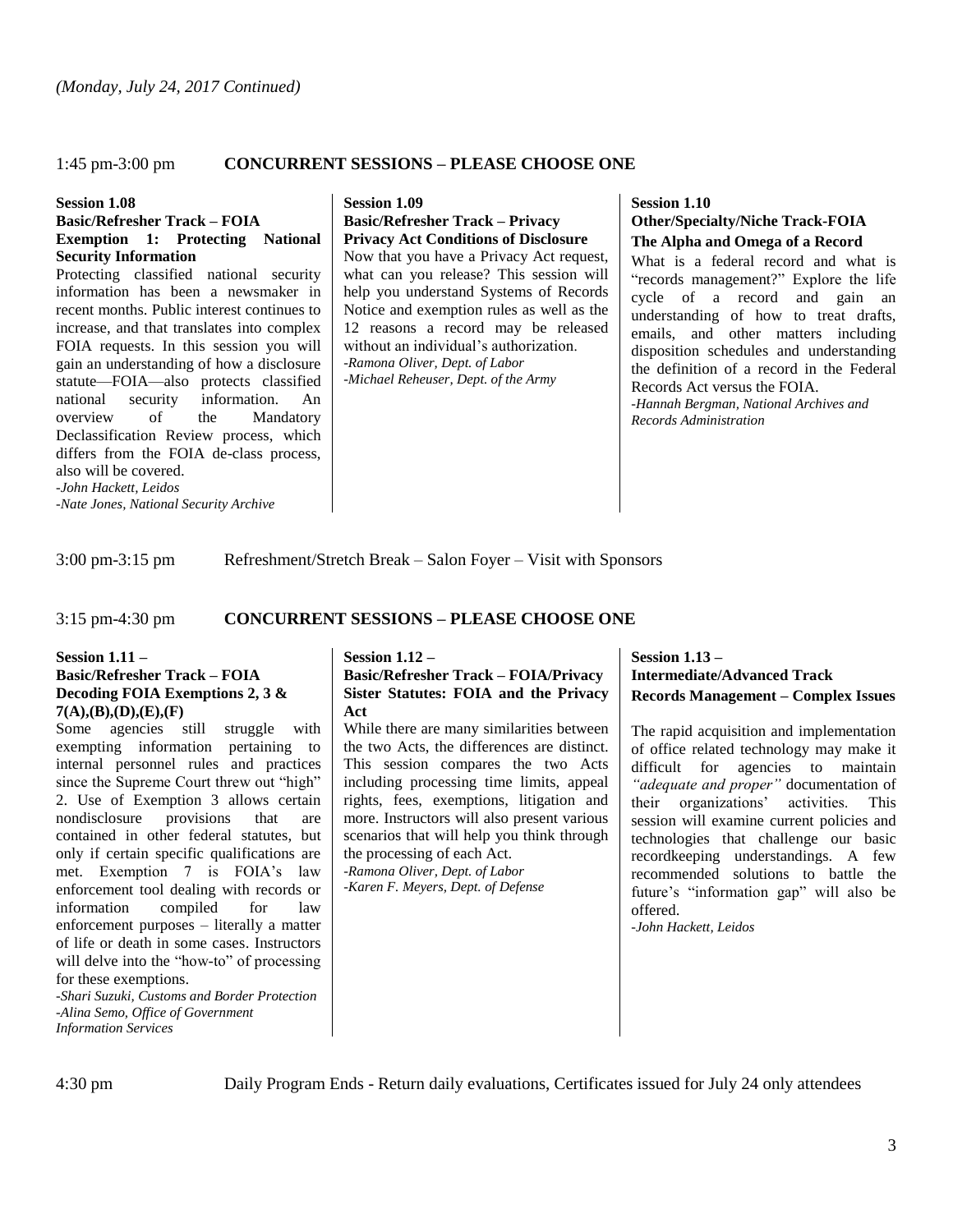#### 1:45 pm-3:00 pm **CONCURRENT SESSIONS – PLEASE CHOOSE ONE**

#### **Session 1.08**

#### **Basic/Refresher Track – FOIA Exemption 1: Protecting National Security Information**

Protecting classified national security information has been a newsmaker in recent months. Public interest continues to increase, and that translates into complex FOIA requests. In this session you will gain an understanding of how a disclosure statute—FOIA—also protects classified national security information. An overview of the Mandatory Declassification Review process, which differs from the FOIA de-class process, also will be covered. *-John Hackett, Leidos*

*-Nate Jones, National Security Archive*

**Session 1.09 Basic/Refresher Track – Privacy Privacy Act Conditions of Disclosure** Now that you have a Privacy Act request,

what can you release? This session will help you understand Systems of Records Notice and exemption rules as well as the 12 reasons a record may be released without an individual's authorization. *-Ramona Oliver, Dept. of Labor -Michael Reheuser, Dept. of the Army*

### **Session 1.10 Other/Specialty/Niche Track-FOIA The Alpha and Omega of a Record**

What is a federal record and what is "records management?" Explore the life cycle of a record and gain an understanding of how to treat drafts, emails, and other matters including disposition schedules and understanding the definition of a record in the Federal Records Act versus the FOIA. *-Hannah Bergman, National Archives and Records Administration*

3:00 pm-3:15 pm Refreshment/Stretch Break – Salon Foyer – Visit with Sponsors

#### 3:15 pm-4:30 pm **CONCURRENT SESSIONS – PLEASE CHOOSE ONE**

#### **Session 1.11 – Basic/Refresher Track – FOIA Decoding FOIA Exemptions 2, 3 & 7(A),(B),(D),(E),(F)**

Some agencies still struggle with exempting information pertaining to internal personnel rules and practices since the Supreme Court threw out "high" 2. Use of Exemption 3 allows certain nondisclosure provisions that are contained in other federal statutes, but only if certain specific qualifications are met. Exemption 7 is FOIA's law enforcement tool dealing with records or information compiled for law enforcement purposes – literally a matter of life or death in some cases. Instructors will delve into the "how-to" of processing for these exemptions.

*-Shari Suzuki, Customs and Border Protection -Alina Semo, Office of Government Information Services*

#### **Session 1.12 – Basic/Refresher Track – FOIA/Privacy Sister Statutes: FOIA and the Privacy Act**

While there are many similarities between the two Acts, the differences are distinct. This session compares the two Acts including processing time limits, appeal rights, fees, exemptions, litigation and more. Instructors will also present various scenarios that will help you think through the processing of each Act. *-Ramona Oliver, Dept. of Labor* 

*-Karen F. Meyers, Dept. of Defense*

# **Session 1.13 – Intermediate/Advanced Track Records Management – Complex Issues**

The rapid acquisition and implementation of office related technology may make it difficult for agencies to maintain *"adequate and proper"* documentation of their organizations' activities. This session will examine current policies and technologies that challenge our basic recordkeeping understandings. A few recommended solutions to battle the future's "information gap" will also be offered.

*-John Hackett, Leidos*

4:30 pm Daily Program Ends - Return daily evaluations, Certificates issued for July 24 only attendees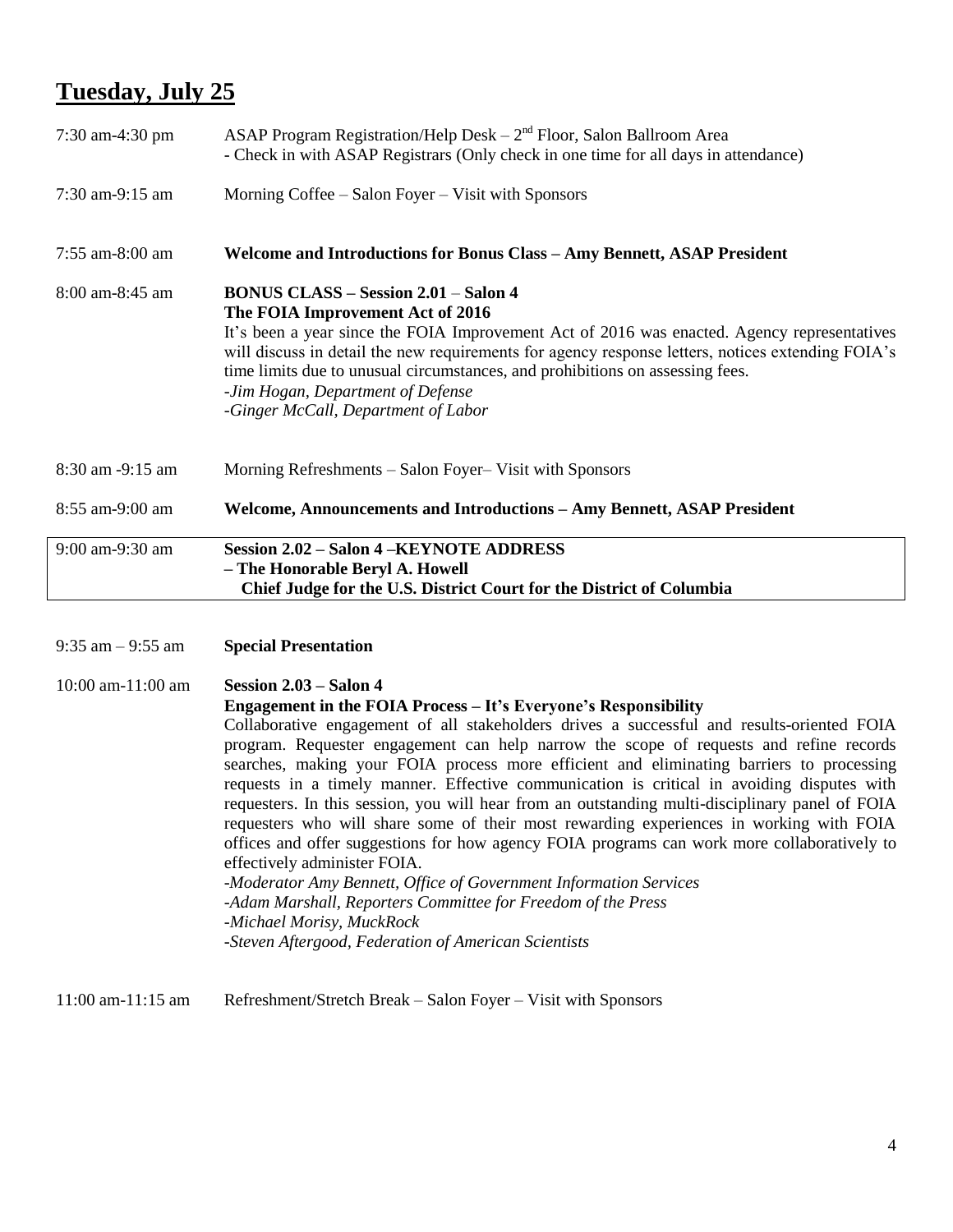# **Tuesday, July 25**

| 7:30 am-4:30 pm      | ASAP Program Registration/Help Desk $-2nd$ Floor, Salon Ballroom Area<br>- Check in with ASAP Registrars (Only check in one time for all days in attendance)                                                                                                                                                                                                                                                                                     |
|----------------------|--------------------------------------------------------------------------------------------------------------------------------------------------------------------------------------------------------------------------------------------------------------------------------------------------------------------------------------------------------------------------------------------------------------------------------------------------|
| 7:30 am-9:15 am      | Morning Coffee – Salon Foyer – Visit with Sponsors                                                                                                                                                                                                                                                                                                                                                                                               |
| 7:55 am-8:00 am      | <b>Welcome and Introductions for Bonus Class - Amy Bennett, ASAP President</b>                                                                                                                                                                                                                                                                                                                                                                   |
| $8:00$ am- $8:45$ am | <b>BONUS CLASS - Session 2.01 - Salon 4</b><br>The FOIA Improvement Act of 2016<br>It's been a year since the FOIA Improvement Act of 2016 was enacted. Agency representatives<br>will discuss in detail the new requirements for agency response letters, notices extending FOIA's<br>time limits due to unusual circumstances, and prohibitions on assessing fees.<br>-Jim Hogan, Department of Defense<br>-Ginger McCall, Department of Labor |
| 8:30 am -9:15 am     | Morning Refreshments – Salon Foyer– Visit with Sponsors                                                                                                                                                                                                                                                                                                                                                                                          |
| 8:55 am-9:00 am      | Welcome, Announcements and Introductions - Amy Bennett, ASAP President                                                                                                                                                                                                                                                                                                                                                                           |
| 9:00 am-9:30 am      | <b>Session 2.02 - Salon 4 -KEYNOTE ADDRESS</b><br>- The Honorable Beryl A. Howell<br>Chief Judge for the U.S. District Court for the District of Columbia                                                                                                                                                                                                                                                                                        |
|                      |                                                                                                                                                                                                                                                                                                                                                                                                                                                  |

9:35 am – 9:55 am **Special Presentation**

10:00 am-11:00 am **Session 2.03 – Salon 4 Engagement in the FOIA Process – It's Everyone's Responsibility** Collaborative engagement of all stakeholders drives a successful and results-oriented FOIA program. Requester engagement can help narrow the scope of requests and refine records searches, making your FOIA process more efficient and eliminating barriers to processing requests in a timely manner. Effective communication is critical in avoiding disputes with requesters. In this session, you will hear from an outstanding multi-disciplinary panel of FOIA requesters who will share some of their most rewarding experiences in working with FOIA offices and offer suggestions for how agency FOIA programs can work more collaboratively to effectively administer FOIA. -*Moderator Amy Bennett, Office of Government Information Services -Adam Marshall, Reporters Committee for Freedom of the Press -Michael Morisy, MuckRock -Steven Aftergood, Federation of American Scientists*

11:00 am-11:15 am Refreshment/Stretch Break – Salon Foyer – Visit with Sponsors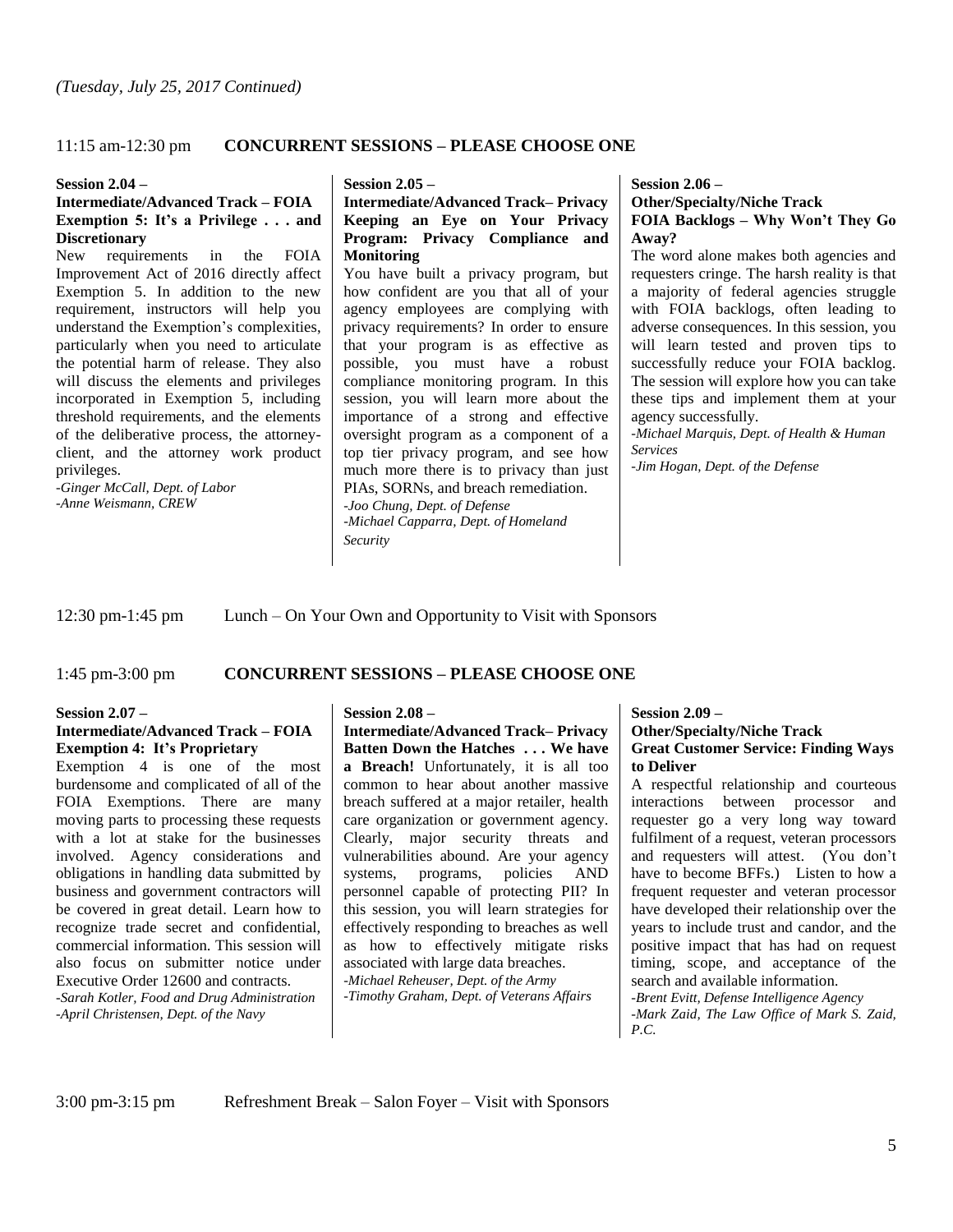# 11:15 am-12:30 pm **CONCURRENT SESSIONS – PLEASE CHOOSE ONE**

#### **Session 2.04 –**

#### **Intermediate/Advanced Track – FOIA Exemption 5: It's a Privilege . . . and Discretionary**

New requirements in the FOIA Improvement Act of 2016 directly affect Exemption 5. In addition to the new requirement, instructors will help you understand the Exemption's complexities, particularly when you need to articulate the potential harm of release. They also will discuss the elements and privileges incorporated in Exemption 5, including threshold requirements, and the elements of the deliberative process, the attorneyclient, and the attorney work product privileges.

*-Ginger McCall, Dept. of Labor -Anne Weismann, CREW*

#### **Session 2.05 –**

### **Intermediate/Advanced Track– Privacy Keeping an Eye on Your Privacy Program: Privacy Compliance and Monitoring**

You have built a privacy program, but how confident are you that all of your agency employees are complying with privacy requirements? In order to ensure that your program is as effective as possible, you must have a robust compliance monitoring program. In this session, you will learn more about the importance of a strong and effective oversight program as a component of a top tier privacy program, and see how much more there is to privacy than just PIAs, SORNs, and breach remediation. *-Joo Chung, Dept. of Defense -Michael Capparra, Dept. of Homeland Security*

**Session 2.06 –**

### **Other/Specialty/Niche Track FOIA Backlogs – Why Won't They Go Away?**

The word alone makes both agencies and requesters cringe. The harsh reality is that a majority of federal agencies struggle with FOIA backlogs, often leading to adverse consequences. In this session, you will learn tested and proven tips to successfully reduce your FOIA backlog. The session will explore how you can take these tips and implement them at your agency successfully.

*-Michael Marquis, Dept. of Health & Human Services*

*-Jim Hogan, Dept. of the Defense*

12:30 pm-1:45 pm Lunch – On Your Own and Opportunity to Visit with Sponsors

# 1:45 pm-3:00 pm **CONCURRENT SESSIONS – PLEASE CHOOSE ONE**

#### **Session 2.07 –**

### **Intermediate/Advanced Track – FOIA Exemption 4: It's Proprietary**

Exemption 4 is one of the most burdensome and complicated of all of the FOIA Exemptions. There are many moving parts to processing these requests with a lot at stake for the businesses involved. Agency considerations and obligations in handling data submitted by business and government contractors will be covered in great detail. Learn how to recognize trade secret and confidential, commercial information. This session will also focus on submitter notice under Executive Order 12600 and contracts. *-Sarah Kotler, Food and Drug Administration -April Christensen, Dept. of the Navy*

# **Session 2.08 –**

**Intermediate/Advanced Track– Privacy Batten Down the Hatches . . . We have a Breach!** Unfortunately, it is all too common to hear about another massive breach suffered at a major retailer, health care organization or government agency. Clearly, major security threats and vulnerabilities abound. Are your agency systems, programs, policies AND personnel capable of protecting PII? In this session, you will learn strategies for effectively responding to breaches as well as how to effectively mitigate risks associated with large data breaches. *-Michael Reheuser, Dept. of the Army -Timothy Graham, Dept. of Veterans Affairs*

#### **Session 2.09 – Other/Specialty/Niche Track**

# **Great Customer Service: Finding Ways to Deliver**

A respectful relationship and courteous interactions between processor and requester go a very long way toward fulfilment of a request, veteran processors and requesters will attest. (You don't have to become BFFs.) Listen to how a frequent requester and veteran processor have developed their relationship over the years to include trust and candor, and the positive impact that has had on request timing, scope, and acceptance of the search and available information.

*-Brent Evitt, Defense Intelligence Agency -Mark Zaid, The Law Office of Mark S. Zaid, P.C.* 

3:00 pm-3:15 pm Refreshment Break – Salon Foyer – Visit with Sponsors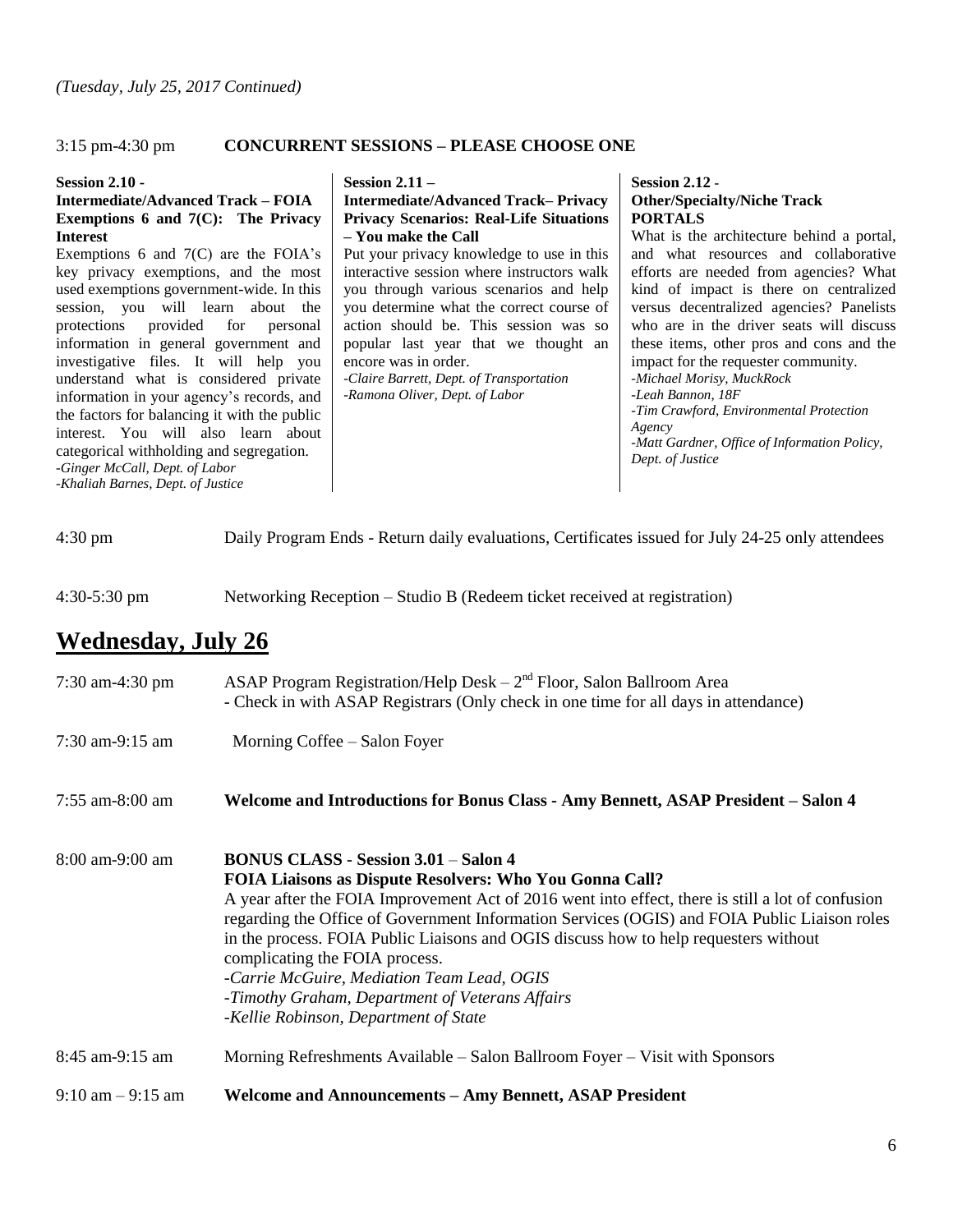# 3:15 pm-4:30 pm **CONCURRENT SESSIONS – PLEASE CHOOSE ONE**

#### **Session 2.10 -**

**Intermediate/Advanced Track – FOIA Exemptions 6 and 7(C): The Privacy Interest**

Exemptions 6 and  $7(C)$  are the FOIA's key privacy exemptions, and the most used exemptions government-wide. In this session, you will learn about the protections provided for personal information in general government and investigative files. It will help you understand what is considered private information in your agency's records, and the factors for balancing it with the public interest. You will also learn about categorical withholding and segregation. *-Ginger McCall, Dept. of Labor -Khaliah Barnes, Dept. of Justice* 

#### **Session 2.11 –**

**Intermediate/Advanced Track– Privacy Privacy Scenarios: Real-Life Situations – You make the Call**

Put your privacy knowledge to use in this interactive session where instructors walk you through various scenarios and help you determine what the correct course of action should be. This session was so popular last year that we thought an encore was in order.

*-Claire Barrett, Dept. of Transportation -Ramona Oliver, Dept. of Labor* 

# **Session 2.12 - Other/Specialty/Niche Track PORTALS**

What is the architecture behind a portal, and what resources and collaborative efforts are needed from agencies? What kind of impact is there on centralized versus decentralized agencies? Panelists who are in the driver seats will discuss these items, other pros and cons and the impact for the requester community. *-Michael Morisy, MuckRock -Leah Bannon, 18F -Tim Crawford, Environmental Protection Agency -Matt Gardner, Office of Information Policy, Dept. of Justice*

| $4:30 \text{ pm}$ |  | Daily Program Ends - Return daily evaluations, Certificates issued for July 24-25 only attendees |
|-------------------|--|--------------------------------------------------------------------------------------------------|
|-------------------|--|--------------------------------------------------------------------------------------------------|

4:30-5:30 pm Networking Reception – Studio B (Redeem ticket received at registration)

# **Wednesday, July 26**

| $7:30$ am-4:30 pm                   | ASAP Program Registration/Help Desk $-2nd$ Floor, Salon Ballroom Area<br>- Check in with ASAP Registrars (Only check in one time for all days in attendance)                                                                                                                                                                                                                                                                                                                                                                                                                           |
|-------------------------------------|----------------------------------------------------------------------------------------------------------------------------------------------------------------------------------------------------------------------------------------------------------------------------------------------------------------------------------------------------------------------------------------------------------------------------------------------------------------------------------------------------------------------------------------------------------------------------------------|
| 7:30 am-9:15 am                     | Morning Coffee – Salon Foyer                                                                                                                                                                                                                                                                                                                                                                                                                                                                                                                                                           |
| $7:55$ am-8:00 am                   | Welcome and Introductions for Bonus Class - Amy Bennett, ASAP President – Salon 4                                                                                                                                                                                                                                                                                                                                                                                                                                                                                                      |
| $8:00$ am-9:00 am                   | <b>BONUS CLASS - Session 3.01 – Salon 4</b><br><b>FOIA Liaisons as Dispute Resolvers: Who You Gonna Call?</b><br>A year after the FOIA Improvement Act of 2016 went into effect, there is still a lot of confusion<br>regarding the Office of Government Information Services (OGIS) and FOIA Public Liaison roles<br>in the process. FOIA Public Liaisons and OGIS discuss how to help requesters without<br>complicating the FOIA process.<br>-Carrie McGuire, Mediation Team Lead, OGIS<br>-Timothy Graham, Department of Veterans Affairs<br>-Kellie Robinson, Department of State |
| $8:45$ am-9:15 am                   | Morning Refreshments Available – Salon Ballroom Foyer – Visit with Sponsors                                                                                                                                                                                                                                                                                                                                                                                                                                                                                                            |
| $9:10 \text{ am} - 9:15 \text{ am}$ | <b>Welcome and Announcements - Amy Bennett, ASAP President</b>                                                                                                                                                                                                                                                                                                                                                                                                                                                                                                                         |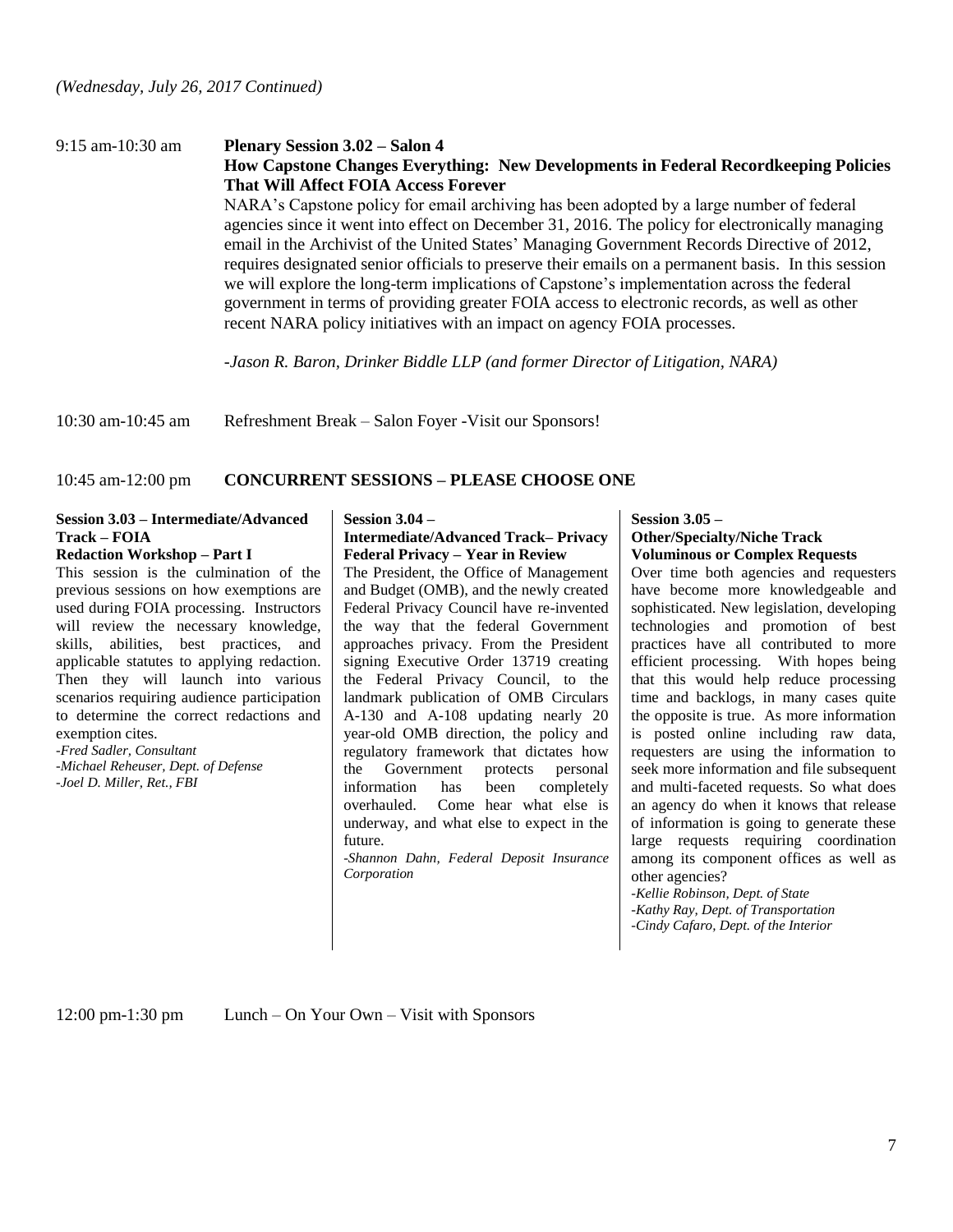# 9:15 am-10:30 am **Plenary Session 3.02 – Salon 4**

# **How Capstone Changes Everything: New Developments in Federal Recordkeeping Policies That Will Affect FOIA Access Forever**

NARA's Capstone policy for email archiving has been adopted by a large number of federal agencies since it went into effect on December 31, 2016. The policy for electronically managing email in the Archivist of the United States' Managing Government Records Directive of 2012, requires designated senior officials to preserve their emails on a permanent basis. In this session we will explore the long-term implications of Capstone's implementation across the federal government in terms of providing greater FOIA access to electronic records, as well as other recent NARA policy initiatives with an impact on agency FOIA processes.

*-Jason R. Baron, Drinker Biddle LLP (and former Director of Litigation, NARA)*

10:30 am-10:45 am Refreshment Break – Salon Foyer -Visit our Sponsors!

#### 10:45 am-12:00 pm **CONCURRENT SESSIONS – PLEASE CHOOSE ONE**

# **Session 3.03 – Intermediate/Advanced Track – FOIA**

# **Redaction Workshop – Part I**

This session is the culmination of the previous sessions on how exemptions are used during FOIA processing. Instructors will review the necessary knowledge, skills, abilities, best practices, and applicable statutes to applying redaction. Then they will launch into various scenarios requiring audience participation to determine the correct redactions and exemption cites.

*-Fred Sadler, Consultant*

*-Michael Reheuser, Dept. of Defense -Joel D. Miller, Ret., FBI*

#### **Session 3.04 –**

#### **Intermediate/Advanced Track– Privacy Federal Privacy – Year in Review**

The President, the Office of Management and Budget (OMB), and the newly created Federal Privacy Council have re-invented the way that the federal Government approaches privacy. From the President signing Executive Order 13719 creating the Federal Privacy Council, to the landmark publication of OMB Circulars A-130 and A-108 updating nearly 20 year-old OMB direction, the policy and regulatory framework that dictates how the Government protects personal information has been completely overhauled. Come hear what else is underway, and what else to expect in the future.

*-Shannon Dahn, Federal Deposit Insurance Corporation*

#### **Session 3.05 –**

#### **Other/Specialty/Niche Track Voluminous or Complex Requests**

Over time both agencies and requesters have become more knowledgeable and sophisticated. New legislation, developing technologies and promotion of best practices have all contributed to more efficient processing. With hopes being that this would help reduce processing time and backlogs, in many cases quite the opposite is true. As more information is posted online including raw data, requesters are using the information to seek more information and file subsequent and multi-faceted requests. So what does an agency do when it knows that release of information is going to generate these large requests requiring coordination among its component offices as well as other agencies?

*-Kellie Robinson, Dept. of State -Kathy Ray, Dept. of Transportation -Cindy Cafaro, Dept. of the Interior*

12:00 pm-1:30 pm Lunch – On Your Own – Visit with Sponsors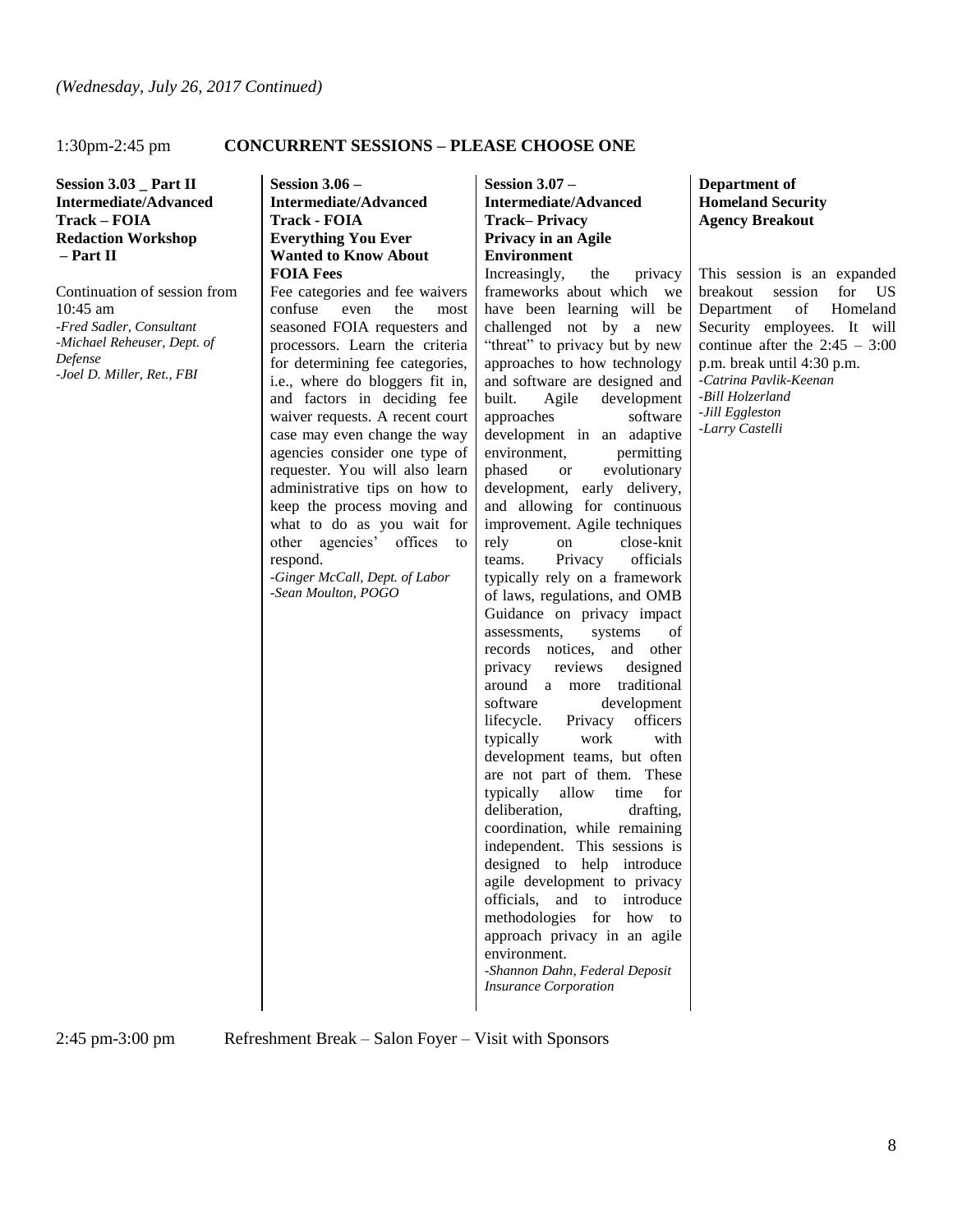# 1:30pm-2:45 pm **CONCURRENT SESSIONS – PLEASE CHOOSE ONE**

**Session 3.03 \_ Part II Intermediate/Advanced Track – FOIA Redaction Workshop – Part II**

Continuation of session from 10:45 am *-Fred Sadler, Consultant -Michael Reheuser, Dept. of Defense -Joel D. Miller, Ret., FBI*

**Session 3.06 – Intermediate/Advanced Track - FOIA Everything You Ever Wanted to Know About FOIA Fees**

Fee categories and fee waivers confuse even the most seasoned FOIA requesters and processors. Learn the criteria for determining fee categories, i.e., where do bloggers fit in, and factors in deciding fee waiver requests. A recent court case may even change the way agencies consider one type of requester. You will also learn administrative tips on how to keep the process moving and what to do as you wait for other agencies' offices to respond.

*-Ginger McCall, Dept. of Labor -Sean Moulton, POGO* 

**Session 3.07 – Intermediate/Advanced Track– Privacy Privacy in an Agile Environment**

Increasingly, the privacy frameworks about which we have been learning will be challenged not by a new "threat" to privacy but by new approaches to how technology and software are designed and built. Agile development approaches software development in an adaptive environment, permitting phased or evolutionary development, early delivery, and allowing for continuous improvement. Agile techniques rely on close-knit teams. Privacy officials typically rely on a framework of laws, regulations, and OMB Guidance on privacy impact assessments, systems of records notices, and other privacy reviews designed around a more traditional software development lifecycle. Privacy officers typically work with development teams, but often are not part of them. These typically allow time for deliberation, drafting, coordination, while remaining independent. This sessions is designed to help introduce agile development to privacy officials, and to introduce methodologies for how to approach privacy in an agile environment. *-Shannon Dahn, Federal Deposit Insurance Corporation* 

**Department of Homeland Security Agency Breakout**

This session is an expanded breakout session for US Department of Homeland Security employees. It will continue after the  $2:45 - 3:00$ p.m. break until 4:30 p.m. *-Catrina Pavlik-Keenan -Bill Holzerland -Jill Eggleston -Larry Castelli*

2:45 pm-3:00 pm Refreshment Break – Salon Foyer – Visit with Sponsors